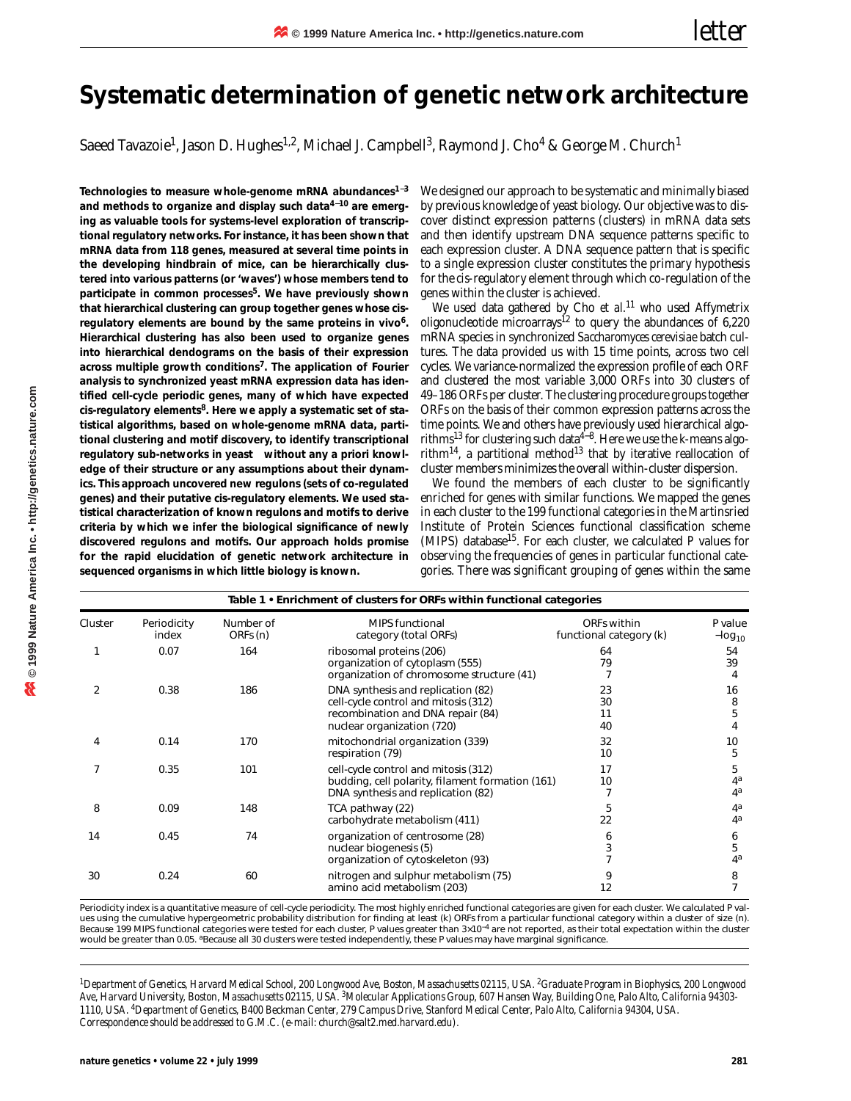## **Systematic determination of genetic network architecture**

Saeed Tavazoie<sup>1</sup>, Jason D. Hughes<sup>1,2</sup>, Michael J. Campbell<sup>3</sup>, Raymond J. Cho<sup>4</sup> & George M. Church<sup>1</sup>

**Technologies to measure whole-genome mRNA abundances1**−**<sup>3</sup> and methods to organize and display such data4**−**<sup>10</sup> are emerging as valuable tools for systems-level exploration of transcriptional regulatory networks. For instance, it has been shown that mRNA data from 118 genes, measured at several time points in the developing hindbrain of mice, can be hierarchically clustered into various patterns (or 'waves') whose members tend to participate in common processes5. We have previously shown that hierarchical clustering can group together genes whose** *cis***regulatory elements are bound by the same proteins** *in vivo***6. Hierarchical clustering has also been used to organize genes into hierarchical dendograms on the basis of their expression across multiple growth conditions7. The application of Fourier analysis to synchronized yeast mRNA expression data has identified cell-cycle periodic genes, many of which have expected** cis-regulatory elements<sup>8</sup>. Here we apply a systematic set of sta**tistical algorithms, based on whole-genome mRNA data, partitional clustering and motif discovery, to identify transcriptional regulatory sub-networks in yeastwithout any a priori knowledge of their structure or any assumptions about their dynamics. This approach uncovered new regulons (sets of co-regulated genes) and their putative** *cis***-regulatory elements. We used statistical characterization of known regulons and motifs to derive criteria by which we infer the biological significance of newly discovered regulons and motifs. Our approach holds promise for the rapid elucidation of genetic network architecture in sequenced organisms in which little biology is known.**

We designed our approach to be systematic and minimally biased by previous knowledge of yeast biology. Our objective was to discover distinct expression patterns (clusters) in mRNA data sets and then identify upstream DNA sequence patterns specific to each expression cluster. A DNA sequence pattern that is specific to a single expression cluster constitutes the primary hypothesis for the *cis*-regulatory element through which co-regulation of the genes within the cluster is achieved.

We used data gathered by Cho *et al.*<sup>11</sup> who used Affymetrix oligonucleotide microarrays<sup>12</sup> to query the abundances of  $6,220$ mRNA species in synchronized *Saccharomyces cerevisiae* batch cultures. The data provided us with 15 time points, across two cell cycles. We variance-normalized the expression profile of each ORF and clustered the most variable 3,000 ORFs into 30 clusters of 49–186 ORFs per cluster. The clustering procedure groups together ORFs on the basis of their common expression patterns across the time points. We and others have previously used hierarchical algorithms13 for clustering such data4<sup>−</sup>8. Here we use the *k*-means algorithm $^{14}$ , a partitional method $^{13}$  that by iterative reallocation of cluster members minimizes the overall within-cluster dispersion.

We found the members of each cluster to be significantly enriched for genes with similar functions. We mapped the genes in each cluster to the 199 functional categories in the Martinsried Institute of Protein Sciences functional classification scheme (MIPS) database15. For each cluster, we calculated *P* values for observing the frequencies of genes in particular functional categories. There was significant grouping of genes within the same

| Table 1 • Enrichment of clusters for ORFs within functional categories |                      |                         |                                                                                                                                               |                                          |                                  |
|------------------------------------------------------------------------|----------------------|-------------------------|-----------------------------------------------------------------------------------------------------------------------------------------------|------------------------------------------|----------------------------------|
| Cluster                                                                | Periodicity<br>index | Number of<br>ORFs $(n)$ | <b>MIPS</b> functional<br>category (total ORFs)                                                                                               | ORFs within<br>functional category $(k)$ | P value<br>$-log_{10}$           |
|                                                                        | 0.07                 | 164                     | ribosomal proteins (206)<br>organization of cytoplasm (555)<br>organization of chromosome structure (41)                                      | 64<br>79                                 | 54<br>39                         |
|                                                                        | 0.38                 | 186                     | DNA synthesis and replication (82)<br>cell-cycle control and mitosis (312)<br>recombination and DNA repair (84)<br>nuclear organization (720) | 23<br>30<br>11<br>40                     | 16<br>8                          |
| 4                                                                      | 0.14                 | 170                     | mitochondrial organization (339)<br>respiration (79)                                                                                          | 32<br>10                                 | 10<br>5                          |
|                                                                        | 0.35                 | 101                     | cell-cycle control and mitosis (312)<br>budding, cell polarity, filament formation (161)<br>DNA synthesis and replication (82)                | 17<br>10                                 | 5.<br>4ª<br>4 <sup>a</sup>       |
| 8                                                                      | 0.09                 | 148                     | TCA pathway (22)<br>carbohydrate metabolism (411)                                                                                             | 22                                       | 4 <sup>a</sup><br>4 <sup>a</sup> |
| 14                                                                     | 0.45                 | 74                      | organization of centrosome (28)<br>nuclear biogenesis (5)<br>organization of cytoskeleton (93)                                                | 6<br>3                                   | 6<br>5<br>4ª                     |
| 30                                                                     | 0.24                 | 60                      | nitrogen and sulphur metabolism (75)<br>amino acid metabolism (203)                                                                           | 12                                       | 8                                |

Periodicity index is a quantitative measure of cell-cycle periodicity. The most highly enriched functional categories are given for each cluster. We calculated *P* values using the cumulative hypergeometric probability distribution for finding at least (*k*) ORFs from a particular functional category within a cluster of size (*n*). Because 199 MIPS functional categories were tested for each cluster, *P* values greater than 3×10−<sup>4</sup> are not reported, as their total expectation within the cluster would be greater than 0.05. <sup>a</sup>Because all 30 clusters were tested independently, these P values may have marginal significance

*1Department of Genetics, Harvard Medical School, 200 Longwood Ave, Boston, Massachusetts 02115, USA. 2Graduate Program in Biophysics, 200 Longwood Ave, Harvard University, Boston, Massachusetts 02115, USA. 3Molecular Applications Group, 607 Hansen Way, Building One, Palo Alto, California 94303- 1110, USA. 4Department of Genetics, B400 Beckman Center, 279 Campus Drive, Stanford Medical Center, Palo Alto, California 94304, USA. Correspondence should be addressed to G.M.C. (e-mail: church@salt2.med.harvard.edu).*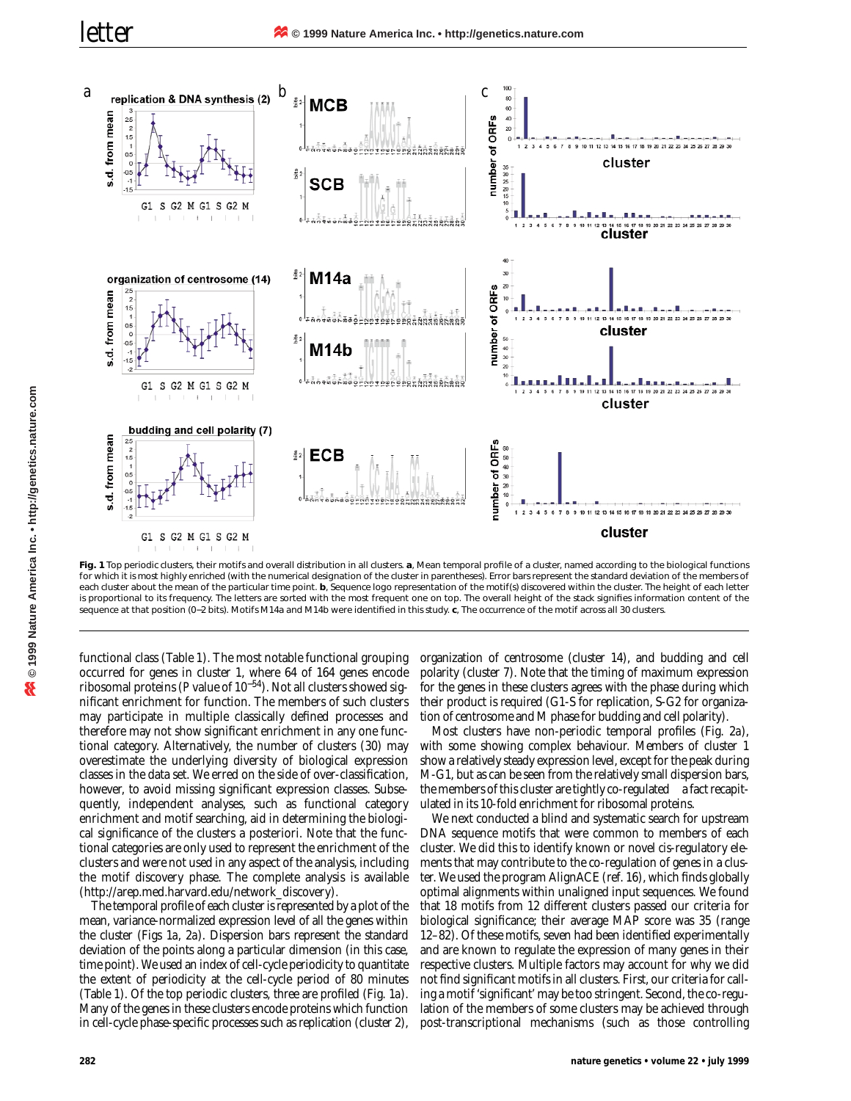

**Fig. 1** Top periodic clusters, their motifs and overall distribution in all clusters. *a*, Mean temporal profile of a cluster, named according to the biological functions for which it is most highly enriched (with the numerical designation of the cluster in parentheses). Error bars represent the standard deviation of the members of each cluster about the mean of the particular time point. *b*, Sequence logo representation of the motif(s) discovered within the cluster. The height of each letter is proportional to its frequency. The letters are sorted with the most frequent one on top. The overall height of the stack signifies information content of the sequence at that position (0−2 bits). Motifs M14a and M14b were identified in this study. *c*, The occurrence of the motif across all 30 clusters.

functional class (Table 1). The most notable functional grouping occurred for genes in cluster 1, where 64 of 164 genes encode ribosomal proteins (*P* value of 10<sup>−</sup>54). Not all clusters showed significant enrichment for function. The members of such clusters may participate in multiple classically defined processes and therefore may not show significant enrichment in any one functional category. Alternatively, the number of clusters (30) may overestimate the underlying diversity of biological expression classes in the data set. We erred on the side of over-classification, however, to avoid missing significant expression classes. Subsequently, independent analyses, such as functional category enrichment and motif searching, aid in determining the biological significance of the clusters a posteriori. Note that the functional categories are only used to represent the enrichment of the clusters and were not used in any aspect of the analysis, including the motif discovery phase. The complete analysis is available (http://arep.med.harvard.edu/network\_discovery).

The temporal profile of each cluster is represented by a plot of the mean, variance-normalized expression level of all the genes within the cluster (Figs 1*a*, 2*a*). Dispersion bars represent the standard deviation of the points along a particular dimension (in this case, time point). We used an index of cell-cycle periodicity to quantitate the extent of periodicity at the cell-cycle period of 80 minutes (Table 1). Of the top periodic clusters, three are profiled (Fig. 1*a*). Many of the genes in these clusters encode proteins which function in cell-cycle phase-specific processes such as replication (cluster 2),

organization of centrosome (cluster 14), and budding and cell polarity (cluster 7). Note that the timing of maximum expression for the genes in these clusters agrees with the phase during which their product is required (G1-S for replication, S-G2 for organization of centrosome and M phase for budding and cell polarity).

Most clusters have non-periodic temporal profiles (Fig. 2*a*), with some showing complex behaviour. Members of cluster 1 show a relatively steady expression level, except for the peak during M-G1, but as can be seen from the relatively small dispersion bars, the members of this cluster are tightly co-regulated—a fact recapitulated in its 10-fold enrichment for ribosomal proteins.

We next conducted a blind and systematic search for upstream DNA sequence motifs that were common to members of each cluster. We did this to identify known or novel *cis*-regulatory elements that may contribute to the co-regulation of genes in a cluster. We used the program AlignACE (ref. 16), which finds globally optimal alignments within unaligned input sequences. We found that 18 motifs from 12 different clusters passed our criteria for biological significance; their average MAP score was 35 (range 12–82). Of these motifs, seven had been identified experimentally and are known to regulate the expression of many genes in their respective clusters. Multiple factors may account for why we did not find significant motifs in all clusters. First, our criteria for calling a motif 'significant' may be too stringent. Second, the co-regulation of the members of some clusters may be achieved through post-transcriptional mechanisms (such as those controlling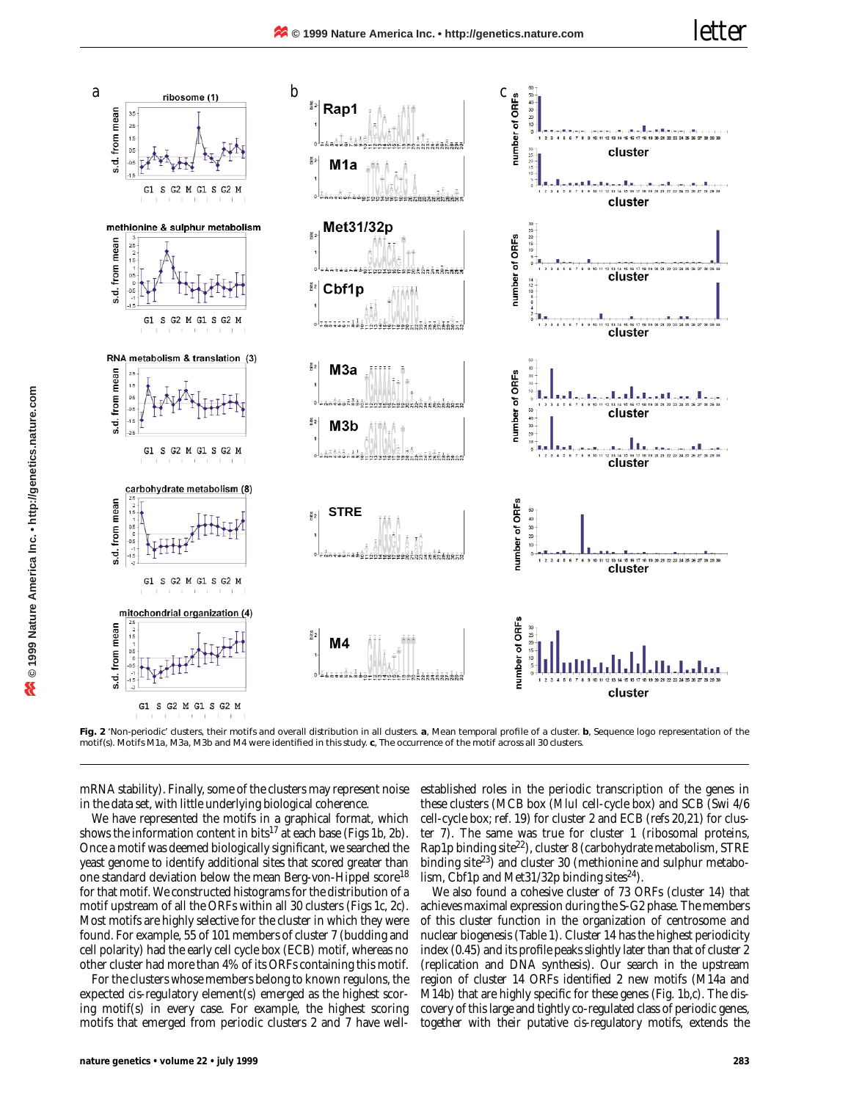

**Fig. 2** 'Non-periodic' clusters, their motifs and overall distribution in all clusters. *a*, Mean temporal profile of a cluster. *b*, Sequence logo representation of the motif(s). Motifs M1a, M3a, M3b and M4 were identified in this study. *c*, The occurrence of the motif across all 30 clusters.

mRNA stability). Finally, some of the clusters may represent noise in the data set, with little underlying biological coherence.

We have represented the motifs in a graphical format, which shows the information content in bits17 at each base (Figs 1*b*, 2*b*). Once a motif was deemed biologically significant, we searched the yeast genome to identify additional sites that scored greater than one standard deviation below the mean Berg-von-Hippel score<sup>18</sup> for that motif. We constructed histograms for the distribution of a motif upstream of all the ORFs within all 30 clusters (Figs 1*c*, 2*c*). Most motifs are highly selective for the cluster in which they were found. For example, 55 of 101 members of cluster 7 (budding and cell polarity) had the early cell cycle box (ECB) motif, whereas no other cluster had more than 4% of its ORFs containing this motif.

For the clusters whose members belong to known regulons, the expected *cis*-regulatory element(s) emerged as the highest scoring motif(s) in every case. For example, the highest scoring motifs that emerged from periodic clusters 2 and 7 have wellestablished roles in the periodic transcription of the genes in these clusters (MCB box (*Mlu*I cell-cycle box) and SCB (Swi 4/6 cell-cycle box; ref. 19) for cluster 2 and ECB (refs 20,21) for cluster 7). The same was true for cluster 1 (ribosomal proteins, Rap1p binding site22), cluster 8 (carbohydrate metabolism, STRE binding site<sup>23</sup>) and cluster 30 (methionine and sulphur metabolism, Cbf1p and Met31/32p binding sites $^{24}$ ).

We also found a cohesive cluster of 73 ORFs (cluster 14) that achieves maximal expression during the S-G2 phase. The members of this cluster function in the organization of centrosome and nuclear biogenesis (Table 1). Cluster 14 has the highest periodicity index (0.45) and its profile peaks slightly later than that of cluster 2 (replication and DNA synthesis). Our search in the upstream region of cluster 14 ORFs identified 2 new motifs (M14a and M14b) that are highly specific for these genes (Fig. 1*b*,*c*). The discovery of this large and tightly co-regulated class of periodic genes, together with their putative *cis-*regulatory motifs, extends the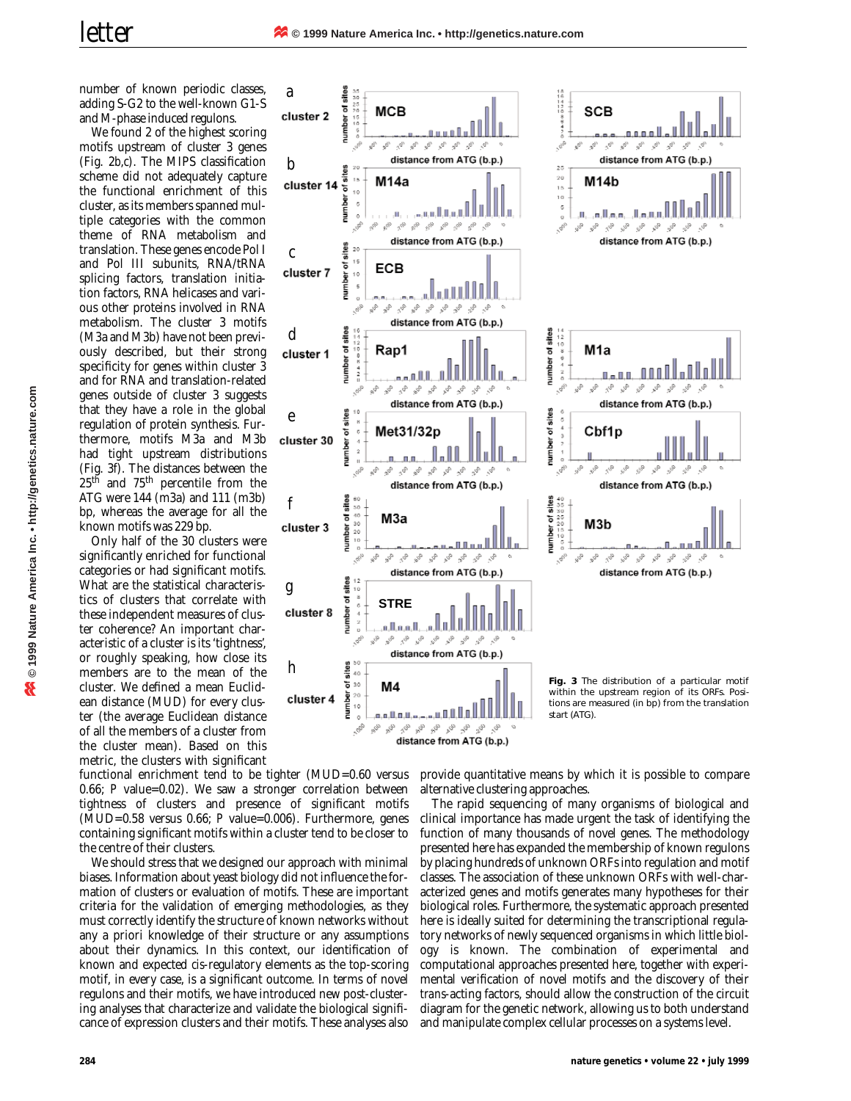number of known periodic classes, adding S-G2 to the well-known G1-S and M-phase induced regulons.

We found 2 of the highest scoring motifs upstream of cluster 3 genes (Fig. 2*b*,*c*). The MIPS classification scheme did not adequately capture the functional enrichment of this cluster, as its members spanned multiple categories with the common theme of RNA metabolism and translation. These genes encode Pol I and Pol III subunits, RNA/tRNA splicing factors, translation initiation factors, RNA helicases and various other proteins involved in RNA metabolism. The cluster 3 motifs (M3a and M3b) have not been previously described, but their strong specificity for genes within cluster 3 and for RNA and translation-related genes outside of cluster 3 suggests that they have a role in the global regulation of protein synthesis. Furthermore, motifs M3a and M3b had tight upstream distributions (Fig. 3*f*). The distances between the  $25<sup>th</sup>$  and  $75<sup>th</sup>$  percentile from the ATG were 144 (m3a) and 111 (m3b) bp, whereas the average for all the known motifs was 229 bp.

Only half of the 30 clusters were significantly enriched for functional categories or had significant motifs. What are the statistical characteristics of clusters that correlate with these independent measures of cluster coherence? An important characteristic of a cluster is its 'tightness', or roughly speaking, how close its members are to the mean of the cluster. We defined a mean Euclidean distance (MUD) for every cluster (the average Euclidean distance of all the members of a cluster from the cluster mean). Based on this metric, the clusters with significant



functional enrichment tend to be tighter (MUD=0.60 versus 0.66; *P* value=0.02). We saw a stronger correlation between tightness of clusters and presence of significant motifs (MUD=0.58 versus 0.66; *P* value=0.006). Furthermore, genes containing significant motifs within a cluster tend to be closer to the centre of their clusters.

We should stress that we designed our approach with minimal biases. Information about yeast biology did not influence the formation of clusters or evaluation of motifs. These are important criteria for the validation of emerging methodologies, as they must correctly identify the structure of known networks without any a priori knowledge of their structure or any assumptions about their dynamics. In this context, our identification of known and expected *cis*-regulatory elements as the top-scoring motif, in every case, is a significant outcome. In terms of novel regulons and their motifs, we have introduced new post-clustering analyses that characterize and validate the biological significance of expression clusters and their motifs. These analyses also

provide quantitative means by which it is possible to compare alternative clustering approaches.

The rapid sequencing of many organisms of biological and clinical importance has made urgent the task of identifying the function of many thousands of novel genes. The methodology presented here has expanded the membership of known regulons by placing hundreds of unknown ORFs into regulation and motif classes. The association of these unknown ORFs with well-characterized genes and motifs generates many hypotheses for their biological roles. Furthermore, the systematic approach presented here is ideally suited for determining the transcriptional regulatory networks of newly sequenced organisms in which little biology is known. The combination of experimental and computational approaches presented here, together with experimental verification of novel motifs and the discovery of their *trans*-acting factors, should allow the construction of the circuit diagram for the genetic network, allowing us to both understand and manipulate complex cellular processes on a systems level.